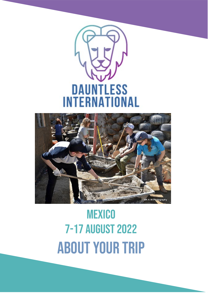



# **MEXICO** 7-17 August 2022 About your trip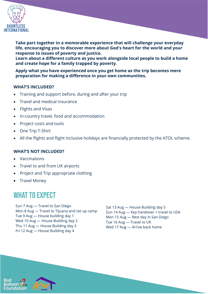

**Take part together in a memorable experience that will challenge your everyday life, encouraging you to discover more about God's heart for the world and your response to issues of poverty and justice.**

**Learn about a different culture as you work alongside local people to build a home and create hope for a family trapped by poverty.** 

**Apply what you have experienced once you get home as the trip becomes mere preparation for making a difference in your own communities.** 

### **WHAT'S INCLUDED?**

- Training and support before, during and after your trip
- Travel and medical insurance
- Flights and Visas
- In-country travel, food and accommodation
- Project costs and tools
- One Trip T-Shirt
- All the flights and flight inclusive holidays are financially protected by the ATOL scheme.

### **WHAT'S NOT INCLUDED?**

- **Vaccinations**
- Travel to and from UK airports
- Project and Trip appropriate clothing
- Travel Money

# WHAT TO EXPECT

Sun 7 Aug — Travel to San Diego Mon 8 Aug — Travel to Tijuana and set up camp Tue 9 Aug — House building day 1 Wed 10 Aug — House Building day 2 Thu 11 Aug — House Building day 3 Fri 12 Aug — House Building day 4

Sat 13 Aug — House Building day 5 Sun 14 Aug — Key handover + travel to USA Mon 15 Aug — Rest day in San Diego Tue 16 Aug — Travel to UK Wed 17 Aug — Arrive back home



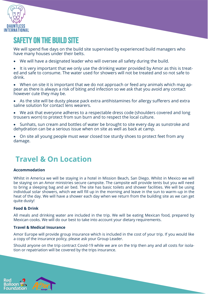

# Safety on the build site

We will spend five days on the build site supervised by experienced build managers who have many houses under their belts.

• We will have a designated leader who will oversee all safety during the build.

It is very important that we only use the drinking water provided by Amor as this is treated and safe to consume. The water used for showers will not be treated and so not safe to drink.

• When on site it is important that we do not approach or feed any animals which may appear as there is always a risk of biting and infection so we ask that you avoid any contact however cute they may be.

- As the site will be dusty please pack extra antihistamines for allergy sufferers and extra saline solution for contact lens wearers.
- We ask that everyone adheres to a respectable dress code (shoulders covered and long trousers worn) to protect from sun burn and to respect the local culture.
- Sunhats, sun cream and bottles of water be brought to site every day as sunstroke and dehydration can be a serious issue when on site as well as back at camp.
- On site all young people must wear closed toe sturdy shoes to protect feet from any damage.

# **Travel & On Location**

### **Accommodation**

Whilst in America we will be staying in a hotel in Mission Beach, San Diego. Whilst in Mexico we will be staying on an Amor ministries secure campsite. The campsite will provide tents but you will need to bring a sleeping bag and air bed. The site has basic toilets and shower facilities. We will be using individual solar showers, which we will fill up in the morning and leave in the sun to warm–up in the heat of the day. We will have a shower each day when we return from the building site as we can get quite dusty!

### **Food & Drink**

All meals and drinking water are included in the trip. We will be eating Mexican food, prepared by Mexican cooks. We will do our best to take into account your dietary requirements.

### **Travel & Medical Insurance**

Amor Europe will provide group insurance which is included in the cost of your trip. If you would like a copy of the insurance policy, please ask your Group Leader.

Should anyone on the trip contract Covid-19 while we are on the trip then any and all costs for isolation or repatriation will be covered by the trips insurance.

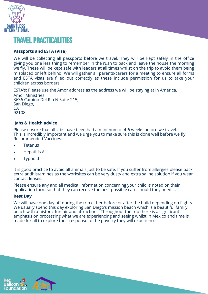

# Travel practicalities

### **Passports and ESTA (Visa)**

We will be collecting all passports before we travel. They will be kept safely in the office giving you one less thing to remember in the rush to pack and leave the house the morning we fly. These will be kept safe with leaders at all times whilst on the trip to avoid them being misplaced or left behind. We will gather all parents/carers for a meeting to ensure all forms and ESTA visas are filled out correctly as these include permission for us to take your children across borders.

ESTA's: Please use the Amor address as the address we will be staying at in America. Amor Ministries 3636 Camino Del Rio N Suite 215, San Diego, CA 92108

### **Jabs & Health advice**

Please ensure that all jabs have been had a minimum of 4-6 weeks before we travel. This is incredibly important and we urge you to make sure this is done well before we fly. Recommended Vaccines:

- **Tetanus**
- Hepatitis A
- **Typhoid**

It is good practice to avoid all animals just to be safe. If you suffer from allergies please pack extra antihistamines as the worksites can be very dusty and extra saline solution if you wear contact lenses.

Please ensure any and all medical information concerning your child is noted on their application form so that they can receive the best possible care should they need it.

#### **Rest Day**

We will have one day off during the trip either before or after the build depending on flights. We usually spend this day exploring San Diego's mission beach which is a beautiful family beach with a historic funfair and attractions. Throughout the trip there is a significant emphasis on processing what we are experiencing and seeing whilst in Mexico and time is made for all to explore their response to the poverty they will experience.



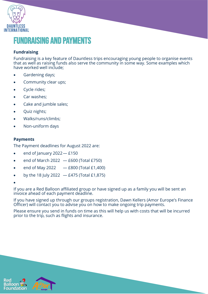

# Fundraising and Payments

## **Fundraising**

Fundraising is a key feature of Dauntless trips encouraging young people to organise events that as well as raising funds also serve the community in some way. Some examples which have worked well include;

- Gardening days;
- Community clear ups;
- Cycle rides;
- Car washes;
- Cake and jumble sales;
- Quiz nights;
- Walks/runs/climbs;
- Non-uniform days

### **Payments**

The Payment deadlines for August 2022 are:

- end of January 2022— £150
- end of March 2022  $-$  £600 (Total £750)
- end of May 2022  $-$  £800 (Total £1,400)
- by the 18 July 2022  $-$  £475 (Total £1,875)
- •

If you are a Red Balloon affiliated group or have signed up as a family you will be sent an invoice ahead of each payment deadline.

If you have signed up through our groups registration, Dawn Kellers (Amor Europe's Finance Officer) will contact you to advise you on how to make ongoing trip payments.

Please ensure you send in funds on time as this will help us with costs that will be incurred prior to the trip, such as flights and insurance.



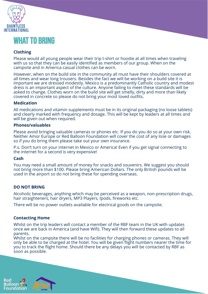

# What to bring

# **Clothing**

Please would all young people wear their trip t-shirt or hoodie at all times when traveling with us so that they can be easily identified as members of our group. When on the campsite and in America casual clothes can be worn.

However, when on the build site in the community all must have their shoulders covered at all times and wear long trousers. Besides the fact we will be working on a build site it is important we are dressed modestly. Mexico is a predominantly Catholic country and modest dress is an important aspect of the culture. Anyone failing to meet these standards will be asked to change. Clothes worn on the build site will get smelly, dirty and more than likely covered in concrete so please do not bring your most loved outfits.

### **Medication**

All medications and vitamin supplements must be in its original packaging (no loose tablets) and clearly marked with frequency and dosage. This will be kept by leaders at all times and will be given out when required.

### **Phones/valuables**

Please avoid bringing valuable cameras or phones etc. If you do you do so at your own risk. Neither Amor Europe or Red Balloon Foundation will cover the cost of any lose or damages so if you do bring them please take out your own insurance.

P.s. Don't turn on your internet in Mexico or America! Even if you get signal connecting to the internet for a second is very expensive!

### **Cash**

You may need a small amount of money for snacks and souvenirs. We suggest you should not bring more than \$100. Please bring American Dollars. The only British pounds will be used in the airport so do not bring these for spending overseas.

### **DO NOT BRING**

Alcoholic beverages, anything which may be perceived as a weapon, non-prescription drugs, hair straighteners, hair dryers, MP3 Players, Ipods, fireworks etc.

There will be no power outlets available for electrical goods on the campsite.

### **Contacting Home**

Whilst on the trip leaders will contact a member of the RBF team in the UK with updates once we are back in America (and have Wifi). They will then forward these updates to all parents.

Whilst on the campsite there will be no facilities for charging phones or cameras. They will only be able to be charged at the hotel. You will be given flight numbers nearer the time for you to track the flight home. Should there be any delays you will be contacted by RBF as soon as possible.



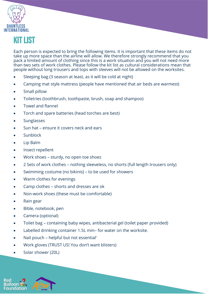



Each person is expected to bring the following items. It is important that these items do not take up more space than the airline will allow. We therefore strongly recommend that you pack a limited amount of clothing since this is a work situation and you will not need more than two sets of work clothes. Please follow the kit list as cultural considerations mean that people without long trousers and tops with sleeves will not be allowed on the worksites.

- Sleeping bag (3 season at least, as it will be cold at night)
- Camping mat style mattress (people have mentioned that air beds are warmest)
- Small pillow
- Toiletries (toothbrush, toothpaste, brush, soap and shampoo)
- Towel and flannel
- Torch and spare batteries (head torches are best)
- **Sunglasses**
- Sun hat ensure it covers neck and ears
- **Sunblock**
- Lip Balm
- Insect repellent
- Work shoes sturdy, no open toe shoes
- 2 Sets of work clothes nothing sleeveless, no shorts (full length trousers only)
- Swimming costume (no bikinis) to be used for showers
- Warm clothes for evenings
- Camp clothes shorts and dresses are ok
- Non-work shoes (these must be comfortable)
- Rain gear
- Bible, notebook, pen
- Camera (optional)
- Toilet bag containing baby wipes, antibacterial gel (toilet paper provided)
- Labelled drinking container 1.5L min- for water on the worksite.
- Nail pouch helpful but not essential'
- Work gloves (TRUST US! You don't want blisters)
- Solar shower (20L)